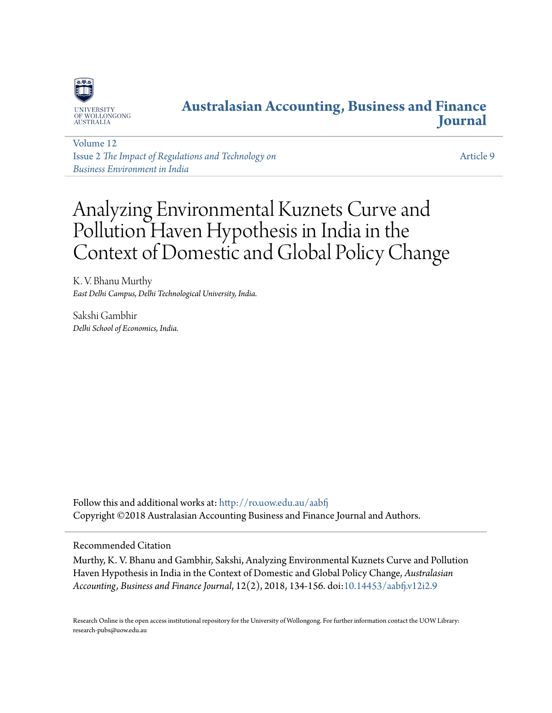

# **[Australasian Accounting, Business and Finance](http://ro.uow.edu.au/aabfj?utm_source=ro.uow.edu.au%2Faabfj%2Fvol12%2Fiss2%2F9&utm_medium=PDF&utm_campaign=PDFCoverPages) [Journal](http://ro.uow.edu.au/aabfj?utm_source=ro.uow.edu.au%2Faabfj%2Fvol12%2Fiss2%2F9&utm_medium=PDF&utm_campaign=PDFCoverPages)**

[Volume 12](http://ro.uow.edu.au/aabfj/vol12?utm_source=ro.uow.edu.au%2Faabfj%2Fvol12%2Fiss2%2F9&utm_medium=PDF&utm_campaign=PDFCoverPages) Issue 2 *[The Impact of Regulations and Technology on](http://ro.uow.edu.au/aabfj/vol12/iss2?utm_source=ro.uow.edu.au%2Faabfj%2Fvol12%2Fiss2%2F9&utm_medium=PDF&utm_campaign=PDFCoverPages) [Business Environment in India](http://ro.uow.edu.au/aabfj/vol12/iss2?utm_source=ro.uow.edu.au%2Faabfj%2Fvol12%2Fiss2%2F9&utm_medium=PDF&utm_campaign=PDFCoverPages)*

[Article 9](http://ro.uow.edu.au/aabfj/vol12/iss2/9?utm_source=ro.uow.edu.au%2Faabfj%2Fvol12%2Fiss2%2F9&utm_medium=PDF&utm_campaign=PDFCoverPages)

# Analyzing Environmental Kuznets Curve and Pollution Haven Hypothesis in India in the Context of Domestic and Global Policy Change

K. V. Bhanu Murthy *East Delhi Campus, Delhi Technological University, India.*

Sakshi Gambhir *Delhi School of Economics, India.*

Follow this and additional works at: [http://ro.uow.edu.au/aabfj](http://ro.uow.edu.au/aabfj?utm_source=ro.uow.edu.au%2Faabfj%2Fvol12%2Fiss2%2F9&utm_medium=PDF&utm_campaign=PDFCoverPages) Copyright ©2018 Australasian Accounting Business and Finance Journal and Authors.

#### Recommended Citation

Murthy, K. V. Bhanu and Gambhir, Sakshi, Analyzing Environmental Kuznets Curve and Pollution Haven Hypothesis in India in the Context of Domestic and Global Policy Change, *Australasian Accounting, Business and Finance Journal*, 12(2), 2018, 134-156. doi:[10.14453/aabfj.v12i2.9](http://dx.doi.org/10.14453/aabfj.v12i2.9)

Research Online is the open access institutional repository for the University of Wollongong. For further information contact the UOW Library: research-pubs@uow.edu.au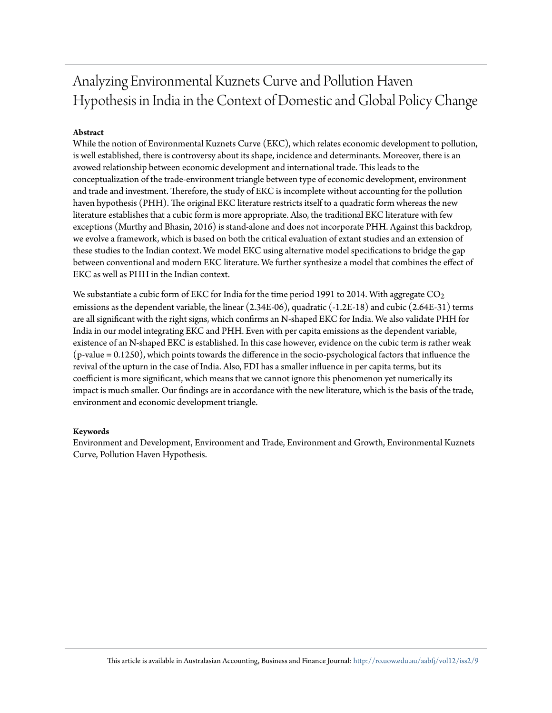# Analyzing Environmental Kuznets Curve and Pollution Haven Hypothesis in India in the Context of Domestic and Global Policy Change

#### **Abstract**

While the notion of Environmental Kuznets Curve (EKC), which relates economic development to pollution, is well established, there is controversy about its shape, incidence and determinants. Moreover, there is an avowed relationship between economic development and international trade. This leads to the conceptualization of the trade-environment triangle between type of economic development, environment and trade and investment. Therefore, the study of EKC is incomplete without accounting for the pollution haven hypothesis (PHH). The original EKC literature restricts itself to a quadratic form whereas the new literature establishes that a cubic form is more appropriate. Also, the traditional EKC literature with few exceptions (Murthy and Bhasin, 2016) is stand-alone and does not incorporate PHH. Against this backdrop, we evolve a framework, which is based on both the critical evaluation of extant studies and an extension of these studies to the Indian context. We model EKC using alternative model specifications to bridge the gap between conventional and modern EKC literature. We further synthesize a model that combines the effect of EKC as well as PHH in the Indian context.

We substantiate a cubic form of EKC for India for the time period 1991 to 2014. With aggregate  $\mathrm{CO}_2$ emissions as the dependent variable, the linear (2.34E-06), quadratic (-1.2E-18) and cubic (2.64E-31) terms are all significant with the right signs, which confirms an N-shaped EKC for India. We also validate PHH for India in our model integrating EKC and PHH. Even with per capita emissions as the dependent variable, existence of an N-shaped EKC is established. In this case however, evidence on the cubic term is rather weak (p-value = 0.1250), which points towards the difference in the socio-psychological factors that influence the revival of the upturn in the case of India. Also, FDI has a smaller influence in per capita terms, but its coefficient is more significant, which means that we cannot ignore this phenomenon yet numerically its impact is much smaller. Our findings are in accordance with the new literature, which is the basis of the trade, environment and economic development triangle.

#### **Keywords**

Environment and Development, Environment and Trade, Environment and Growth, Environmental Kuznets Curve, Pollution Haven Hypothesis.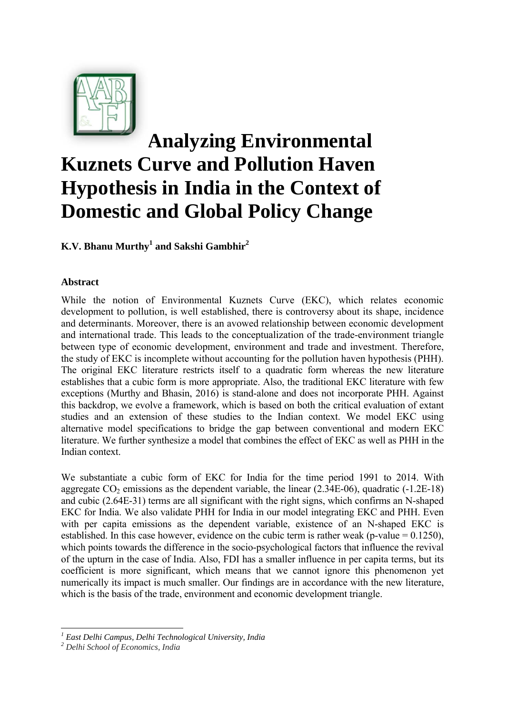

# **Analyzing Environmental Kuznets Curve and Pollution Haven Hypothesis in India in the Context of Domestic and Global Policy Change**

**K.V. Bhanu Murthy1 and Sakshi Gambhir2**

## **Abstract**

While the notion of Environmental Kuznets Curve (EKC), which relates economic development to pollution, is well established, there is controversy about its shape, incidence and determinants. Moreover, there is an avowed relationship between economic development and international trade. This leads to the conceptualization of the trade-environment triangle between type of economic development, environment and trade and investment. Therefore, the study of EKC is incomplete without accounting for the pollution haven hypothesis (PHH). The original EKC literature restricts itself to a quadratic form whereas the new literature establishes that a cubic form is more appropriate. Also, the traditional EKC literature with few exceptions (Murthy and Bhasin, 2016) is stand-alone and does not incorporate PHH. Against this backdrop, we evolve a framework, which is based on both the critical evaluation of extant studies and an extension of these studies to the Indian context. We model EKC using alternative model specifications to bridge the gap between conventional and modern EKC literature. We further synthesize a model that combines the effect of EKC as well as PHH in the Indian context.

We substantiate a cubic form of EKC for India for the time period 1991 to 2014. With aggregate  $CO<sub>2</sub>$  emissions as the dependent variable, the linear (2.34E-06), quadratic (-1.2E-18) and cubic (2.64E-31) terms are all significant with the right signs, which confirms an N-shaped EKC for India. We also validate PHH for India in our model integrating EKC and PHH. Even with per capita emissions as the dependent variable, existence of an N-shaped EKC is established. In this case however, evidence on the cubic term is rather weak (p-value  $= 0.1250$ ), which points towards the difference in the socio-psychological factors that influence the revival of the upturn in the case of India. Also, FDI has a smaller influence in per capita terms, but its coefficient is more significant, which means that we cannot ignore this phenomenon yet numerically its impact is much smaller. Our findings are in accordance with the new literature, which is the basis of the trade, environment and economic development triangle.

 *<sup>1</sup> East Delhi Campus, Delhi Technological University, India* 

*<sup>2</sup> Delhi School of Economics, India*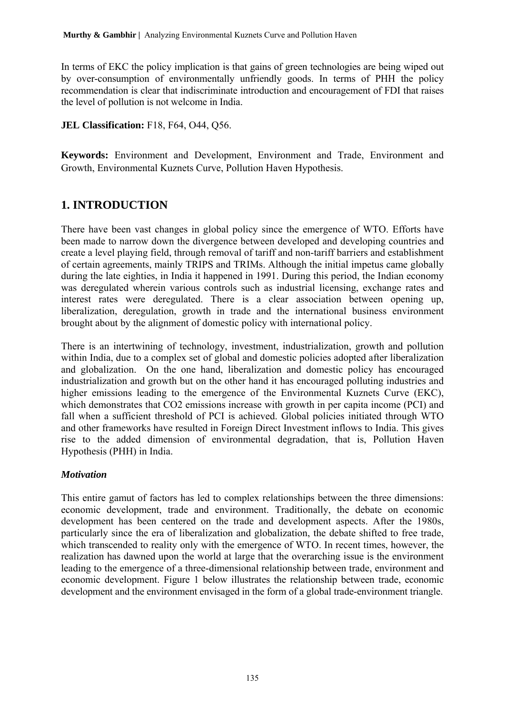In terms of EKC the policy implication is that gains of green technologies are being wiped out by over-consumption of environmentally unfriendly goods. In terms of PHH the policy recommendation is clear that indiscriminate introduction and encouragement of FDI that raises the level of pollution is not welcome in India.

## **JEL Classification:** F18, F64, O44, Q56.

**Keywords:** Environment and Development, Environment and Trade, Environment and Growth, Environmental Kuznets Curve, Pollution Haven Hypothesis.

# **1. INTRODUCTION**

There have been vast changes in global policy since the emergence of WTO. Efforts have been made to narrow down the divergence between developed and developing countries and create a level playing field, through removal of tariff and non-tariff barriers and establishment of certain agreements, mainly TRIPS and TRIMs. Although the initial impetus came globally during the late eighties, in India it happened in 1991. During this period, the Indian economy was deregulated wherein various controls such as industrial licensing, exchange rates and interest rates were deregulated. There is a clear association between opening up, liberalization, deregulation, growth in trade and the international business environment brought about by the alignment of domestic policy with international policy.

There is an intertwining of technology, investment, industrialization, growth and pollution within India, due to a complex set of global and domestic policies adopted after liberalization and globalization. On the one hand, liberalization and domestic policy has encouraged industrialization and growth but on the other hand it has encouraged polluting industries and higher emissions leading to the emergence of the Environmental Kuznets Curve (EKC), which demonstrates that CO2 emissions increase with growth in per capita income (PCI) and fall when a sufficient threshold of PCI is achieved. Global policies initiated through WTO and other frameworks have resulted in Foreign Direct Investment inflows to India. This gives rise to the added dimension of environmental degradation, that is, Pollution Haven Hypothesis (PHH) in India.

# *Motivation*

This entire gamut of factors has led to complex relationships between the three dimensions: economic development, trade and environment. Traditionally, the debate on economic development has been centered on the trade and development aspects. After the 1980s, particularly since the era of liberalization and globalization, the debate shifted to free trade, which transcended to reality only with the emergence of WTO. In recent times, however, the realization has dawned upon the world at large that the overarching issue is the environment leading to the emergence of a three-dimensional relationship between trade, environment and economic development. Figure 1 below illustrates the relationship between trade, economic development and the environment envisaged in the form of a global trade-environment triangle.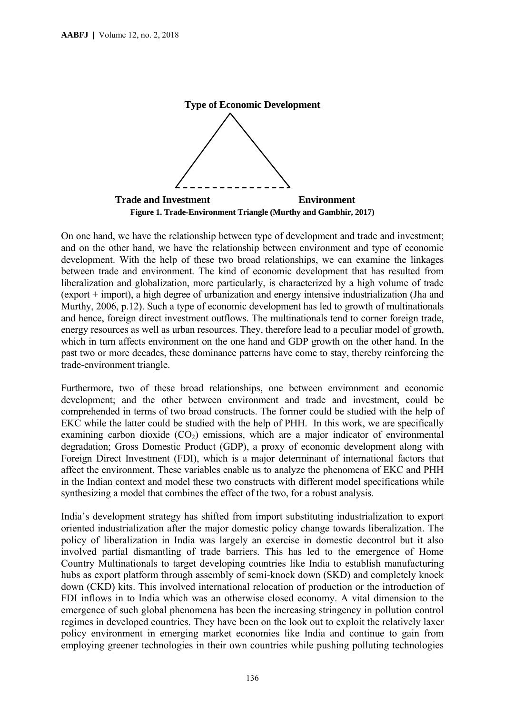

On one hand, we have the relationship between type of development and trade and investment; and on the other hand, we have the relationship between environment and type of economic development. With the help of these two broad relationships, we can examine the linkages between trade and environment. The kind of economic development that has resulted from liberalization and globalization, more particularly, is characterized by a high volume of trade (export + import), a high degree of urbanization and energy intensive industrialization (Jha and Murthy, 2006, p.12). Such a type of economic development has led to growth of multinationals and hence, foreign direct investment outflows. The multinationals tend to corner foreign trade, energy resources as well as urban resources. They, therefore lead to a peculiar model of growth, which in turn affects environment on the one hand and GDP growth on the other hand. In the past two or more decades, these dominance patterns have come to stay, thereby reinforcing the trade-environment triangle.

Furthermore, two of these broad relationships, one between environment and economic development; and the other between environment and trade and investment, could be comprehended in terms of two broad constructs. The former could be studied with the help of EKC while the latter could be studied with the help of PHH. In this work, we are specifically examining carbon dioxide  $(CO<sub>2</sub>)$  emissions, which are a major indicator of environmental degradation; Gross Domestic Product (GDP), a proxy of economic development along with Foreign Direct Investment (FDI), which is a major determinant of international factors that affect the environment. These variables enable us to analyze the phenomena of EKC and PHH in the Indian context and model these two constructs with different model specifications while synthesizing a model that combines the effect of the two, for a robust analysis.

India's development strategy has shifted from import substituting industrialization to export oriented industrialization after the major domestic policy change towards liberalization. The policy of liberalization in India was largely an exercise in domestic decontrol but it also involved partial dismantling of trade barriers. This has led to the emergence of Home Country Multinationals to target developing countries like India to establish manufacturing hubs as export platform through assembly of semi-knock down (SKD) and completely knock down (CKD) kits. This involved international relocation of production or the introduction of FDI inflows in to India which was an otherwise closed economy. A vital dimension to the emergence of such global phenomena has been the increasing stringency in pollution control regimes in developed countries. They have been on the look out to exploit the relatively laxer policy environment in emerging market economies like India and continue to gain from employing greener technologies in their own countries while pushing polluting technologies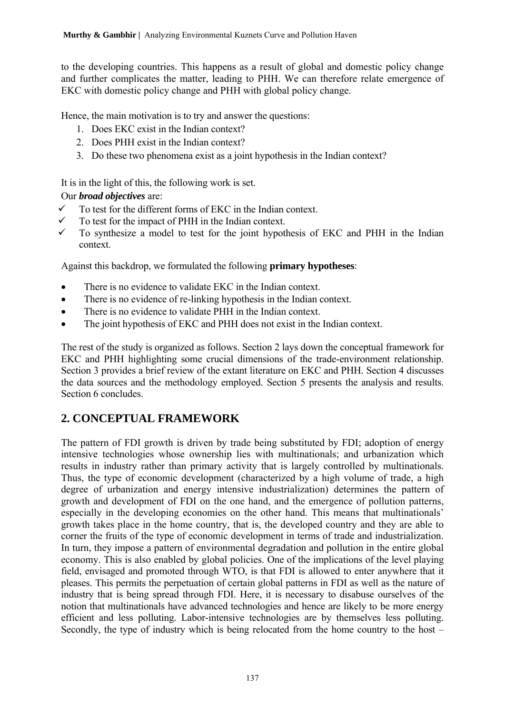to the developing countries. This happens as a result of global and domestic policy change and further complicates the matter, leading to PHH. We can therefore relate emergence of EKC with domestic policy change and PHH with global policy change.

Hence, the main motivation is to try and answer the questions:

- 1. Does EKC exist in the Indian context?
- 2. Does PHH exist in the Indian context?
- 3. Do these two phenomena exist as a joint hypothesis in the Indian context?

It is in the light of this, the following work is set.

# Our *broad objectives* are:

- $\checkmark$  To test for the different forms of EKC in the Indian context.
- $\checkmark$  To test for the impact of PHH in the Indian context.
- $\checkmark$  To synthesize a model to test for the joint hypothesis of EKC and PHH in the Indian context.

Against this backdrop, we formulated the following **primary hypotheses**:

- There is no evidence to validate EKC in the Indian context.
- There is no evidence of re-linking hypothesis in the Indian context.
- There is no evidence to validate PHH in the Indian context.
- The joint hypothesis of EKC and PHH does not exist in the Indian context.

The rest of the study is organized as follows. Section 2 lays down the conceptual framework for EKC and PHH highlighting some crucial dimensions of the trade-environment relationship. Section 3 provides a brief review of the extant literature on EKC and PHH. Section 4 discusses the data sources and the methodology employed. Section 5 presents the analysis and results. Section 6 concludes.

# **2. CONCEPTUAL FRAMEWORK**

The pattern of FDI growth is driven by trade being substituted by FDI; adoption of energy intensive technologies whose ownership lies with multinationals; and urbanization which results in industry rather than primary activity that is largely controlled by multinationals. Thus, the type of economic development (characterized by a high volume of trade, a high degree of urbanization and energy intensive industrialization) determines the pattern of growth and development of FDI on the one hand, and the emergence of pollution patterns, especially in the developing economies on the other hand. This means that multinationals' growth takes place in the home country, that is, the developed country and they are able to corner the fruits of the type of economic development in terms of trade and industrialization. In turn, they impose a pattern of environmental degradation and pollution in the entire global economy. This is also enabled by global policies. One of the implications of the level playing field, envisaged and promoted through WTO, is that FDI is allowed to enter anywhere that it pleases. This permits the perpetuation of certain global patterns in FDI as well as the nature of industry that is being spread through FDI. Here, it is necessary to disabuse ourselves of the notion that multinationals have advanced technologies and hence are likely to be more energy efficient and less polluting. Labor-intensive technologies are by themselves less polluting. Secondly, the type of industry which is being relocated from the home country to the host –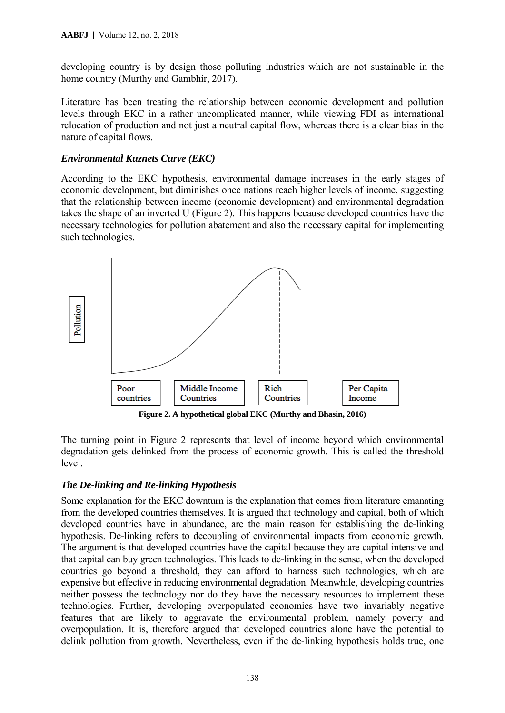developing country is by design those polluting industries which are not sustainable in the home country (Murthy and Gambhir, 2017).

Literature has been treating the relationship between economic development and pollution levels through EKC in a rather uncomplicated manner, while viewing FDI as international relocation of production and not just a neutral capital flow, whereas there is a clear bias in the nature of capital flows.

#### *Environmental Kuznets Curve (EKC)*

According to the EKC hypothesis, environmental damage increases in the early stages of economic development, but diminishes once nations reach higher levels of income, suggesting that the relationship between income (economic development) and environmental degradation takes the shape of an inverted U (Figure 2). This happens because developed countries have the necessary technologies for pollution abatement and also the necessary capital for implementing such technologies.



**Figure 2. A hypothetical global EKC (Murthy and Bhasin, 2016)** 

The turning point in Figure 2 represents that level of income beyond which environmental degradation gets delinked from the process of economic growth. This is called the threshold level.

# *The De-linking and Re-linking Hypothesis*

Some explanation for the EKC downturn is the explanation that comes from literature emanating from the developed countries themselves. It is argued that technology and capital, both of which developed countries have in abundance, are the main reason for establishing the de-linking hypothesis. De-linking refers to decoupling of environmental impacts from economic growth. The argument is that developed countries have the capital because they are capital intensive and that capital can buy green technologies. This leads to de-linking in the sense, when the developed countries go beyond a threshold, they can afford to harness such technologies, which are expensive but effective in reducing environmental degradation. Meanwhile, developing countries neither possess the technology nor do they have the necessary resources to implement these technologies. Further, developing overpopulated economies have two invariably negative features that are likely to aggravate the environmental problem, namely poverty and overpopulation. It is, therefore argued that developed countries alone have the potential to delink pollution from growth. Nevertheless, even if the de-linking hypothesis holds true, one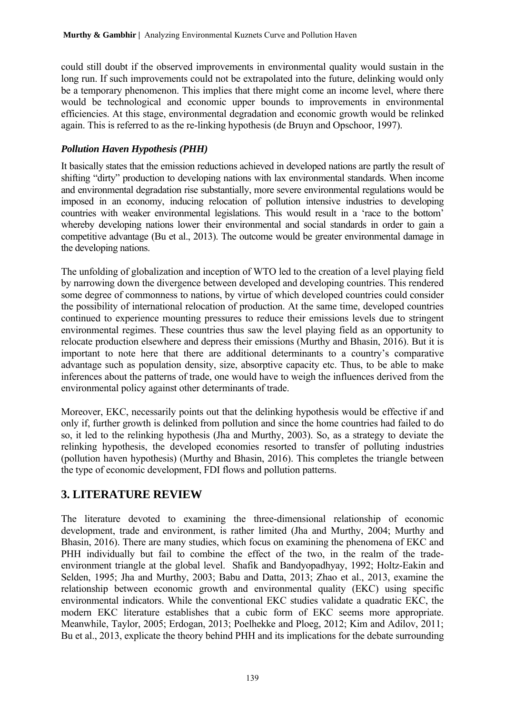could still doubt if the observed improvements in environmental quality would sustain in the long run. If such improvements could not be extrapolated into the future, delinking would only be a temporary phenomenon. This implies that there might come an income level, where there would be technological and economic upper bounds to improvements in environmental efficiencies. At this stage, environmental degradation and economic growth would be relinked again. This is referred to as the re-linking hypothesis (de Bruyn and Opschoor, 1997).

## *Pollution Haven Hypothesis (PHH)*

It basically states that the emission reductions achieved in developed nations are partly the result of shifting "dirty" production to developing nations with lax environmental standards. When income and environmental degradation rise substantially, more severe environmental regulations would be imposed in an economy, inducing relocation of pollution intensive industries to developing countries with weaker environmental legislations. This would result in a 'race to the bottom' whereby developing nations lower their environmental and social standards in order to gain a competitive advantage (Bu et al., 2013). The outcome would be greater environmental damage in the developing nations.

The unfolding of globalization and inception of WTO led to the creation of a level playing field by narrowing down the divergence between developed and developing countries. This rendered some degree of commonness to nations, by virtue of which developed countries could consider the possibility of international relocation of production. At the same time, developed countries continued to experience mounting pressures to reduce their emissions levels due to stringent environmental regimes. These countries thus saw the level playing field as an opportunity to relocate production elsewhere and depress their emissions (Murthy and Bhasin, 2016). But it is important to note here that there are additional determinants to a country's comparative advantage such as population density, size, absorptive capacity etc. Thus, to be able to make inferences about the patterns of trade, one would have to weigh the influences derived from the environmental policy against other determinants of trade.

Moreover, EKC, necessarily points out that the delinking hypothesis would be effective if and only if, further growth is delinked from pollution and since the home countries had failed to do so, it led to the relinking hypothesis (Jha and Murthy, 2003). So, as a strategy to deviate the relinking hypothesis, the developed economies resorted to transfer of polluting industries (pollution haven hypothesis) (Murthy and Bhasin, 2016). This completes the triangle between the type of economic development, FDI flows and pollution patterns.

# **3. LITERATURE REVIEW**

The literature devoted to examining the three-dimensional relationship of economic development, trade and environment, is rather limited (Jha and Murthy, 2004; Murthy and Bhasin, 2016). There are many studies, which focus on examining the phenomena of EKC and PHH individually but fail to combine the effect of the two, in the realm of the tradeenvironment triangle at the global level. Shafik and Bandyopadhyay, 1992; Holtz-Eakin and Selden, 1995; Jha and Murthy, 2003; Babu and Datta, 2013; Zhao et al., 2013, examine the relationship between economic growth and environmental quality (EKC) using specific environmental indicators. While the conventional EKC studies validate a quadratic EKC, the modern EKC literature establishes that a cubic form of EKC seems more appropriate. Meanwhile, Taylor, 2005; Erdogan, 2013; Poelhekke and Ploeg, 2012; Kim and Adilov, 2011; Bu et al., 2013, explicate the theory behind PHH and its implications for the debate surrounding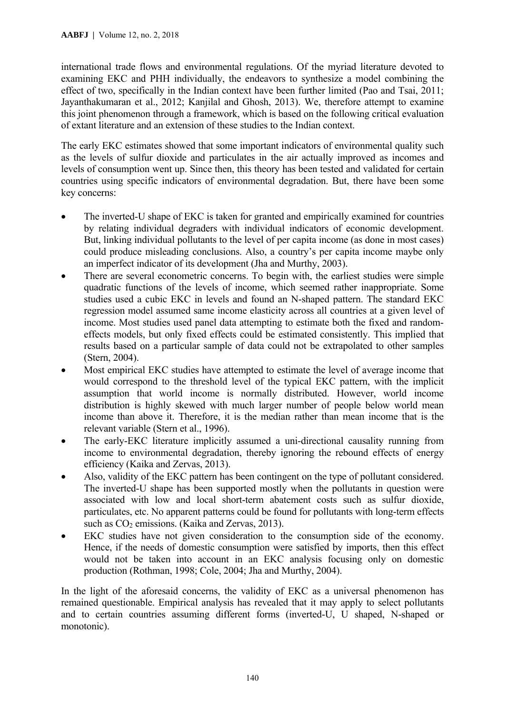international trade flows and environmental regulations. Of the myriad literature devoted to examining EKC and PHH individually, the endeavors to synthesize a model combining the effect of two, specifically in the Indian context have been further limited (Pao and Tsai, 2011; Jayanthakumaran et al., 2012; Kanjilal and Ghosh, 2013). We, therefore attempt to examine this joint phenomenon through a framework, which is based on the following critical evaluation of extant literature and an extension of these studies to the Indian context.

The early EKC estimates showed that some important indicators of environmental quality such as the levels of sulfur dioxide and particulates in the air actually improved as incomes and levels of consumption went up. Since then, this theory has been tested and validated for certain countries using specific indicators of environmental degradation. But, there have been some key concerns:

- The inverted-U shape of EKC is taken for granted and empirically examined for countries by relating individual degraders with individual indicators of economic development. But, linking individual pollutants to the level of per capita income (as done in most cases) could produce misleading conclusions. Also, a country's per capita income maybe only an imperfect indicator of its development (Jha and Murthy, 2003).
- There are several econometric concerns. To begin with, the earliest studies were simple quadratic functions of the levels of income, which seemed rather inappropriate. Some studies used a cubic EKC in levels and found an N-shaped pattern. The standard EKC regression model assumed same income elasticity across all countries at a given level of income. Most studies used panel data attempting to estimate both the fixed and randomeffects models, but only fixed effects could be estimated consistently. This implied that results based on a particular sample of data could not be extrapolated to other samples (Stern, 2004).
- Most empirical EKC studies have attempted to estimate the level of average income that would correspond to the threshold level of the typical EKC pattern, with the implicit assumption that world income is normally distributed. However, world income distribution is highly skewed with much larger number of people below world mean income than above it. Therefore, it is the median rather than mean income that is the relevant variable (Stern et al., 1996).
- The early-EKC literature implicitly assumed a uni-directional causality running from income to environmental degradation, thereby ignoring the rebound effects of energy efficiency (Kaika and Zervas, 2013).
- Also, validity of the EKC pattern has been contingent on the type of pollutant considered. The inverted-U shape has been supported mostly when the pollutants in question were associated with low and local short-term abatement costs such as sulfur dioxide, particulates, etc. No apparent patterns could be found for pollutants with long-term effects such as  $CO<sub>2</sub>$  emissions. (Kaika and Zervas, 2013).
- EKC studies have not given consideration to the consumption side of the economy. Hence, if the needs of domestic consumption were satisfied by imports, then this effect would not be taken into account in an EKC analysis focusing only on domestic production (Rothman, 1998; Cole, 2004; Jha and Murthy, 2004).

In the light of the aforesaid concerns, the validity of EKC as a universal phenomenon has remained questionable. Empirical analysis has revealed that it may apply to select pollutants and to certain countries assuming different forms (inverted-U, U shaped, N-shaped or monotonic).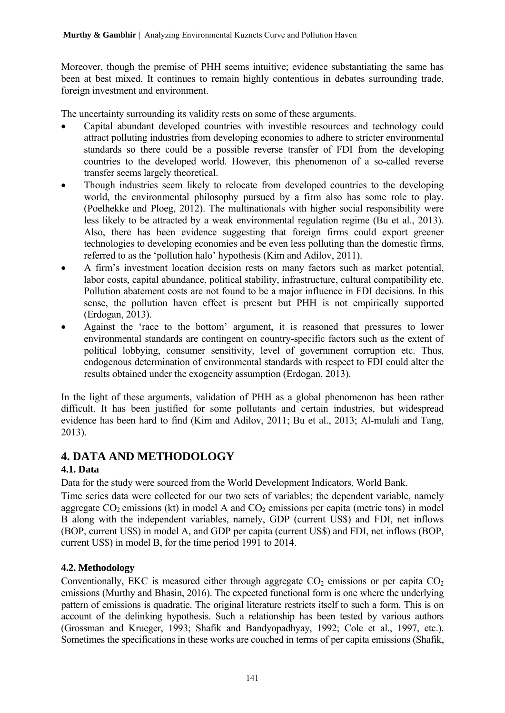Moreover, though the premise of PHH seems intuitive; evidence substantiating the same has been at best mixed. It continues to remain highly contentious in debates surrounding trade, foreign investment and environment.

The uncertainty surrounding its validity rests on some of these arguments.

- Capital abundant developed countries with investible resources and technology could attract polluting industries from developing economies to adhere to stricter environmental standards so there could be a possible reverse transfer of FDI from the developing countries to the developed world. However, this phenomenon of a so-called reverse transfer seems largely theoretical.
- Though industries seem likely to relocate from developed countries to the developing world, the environmental philosophy pursued by a firm also has some role to play. (Poelhekke and Ploeg, 2012). The multinationals with higher social responsibility were less likely to be attracted by a weak environmental regulation regime (Bu et al., 2013). Also, there has been evidence suggesting that foreign firms could export greener technologies to developing economies and be even less polluting than the domestic firms, referred to as the 'pollution halo' hypothesis (Kim and Adilov, 2011).
- A firm's investment location decision rests on many factors such as market potential, labor costs, capital abundance, political stability, infrastructure, cultural compatibility etc. Pollution abatement costs are not found to be a major influence in FDI decisions. In this sense, the pollution haven effect is present but PHH is not empirically supported (Erdogan, 2013).
- Against the 'race to the bottom' argument, it is reasoned that pressures to lower environmental standards are contingent on country-specific factors such as the extent of political lobbying, consumer sensitivity, level of government corruption etc. Thus, endogenous determination of environmental standards with respect to FDI could alter the results obtained under the exogeneity assumption (Erdogan, 2013).

In the light of these arguments, validation of PHH as a global phenomenon has been rather difficult. It has been justified for some pollutants and certain industries, but widespread evidence has been hard to find (Kim and Adilov, 2011; Bu et al., 2013; Al-mulali and Tang, 2013).

# **4. DATA AND METHODOLOGY**

# **4.1. Data**

Data for the study were sourced from the World Development Indicators, World Bank.

Time series data were collected for our two sets of variables; the dependent variable, namely aggregate  $CO<sub>2</sub>$  emissions (kt) in model A and  $CO<sub>2</sub>$  emissions per capita (metric tons) in model B along with the independent variables, namely, GDP (current US\$) and FDI, net inflows (BOP, current US\$) in model A, and GDP per capita (current US\$) and FDI, net inflows (BOP, current US\$) in model B, for the time period 1991 to 2014.

# **4.2. Methodology**

Conventionally, EKC is measured either through aggregate  $CO<sub>2</sub>$  emissions or per capita  $CO<sub>2</sub>$ emissions (Murthy and Bhasin, 2016). The expected functional form is one where the underlying pattern of emissions is quadratic. The original literature restricts itself to such a form. This is on account of the delinking hypothesis. Such a relationship has been tested by various authors (Grossman and Krueger, 1993; Shafik and Bandyopadhyay, 1992; Cole et al., 1997, etc.). Sometimes the specifications in these works are couched in terms of per capita emissions (Shafik,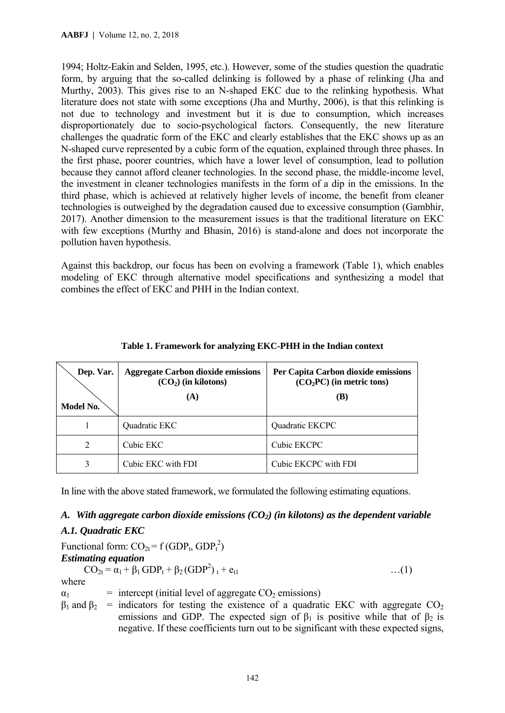1994; Holtz-Eakin and Selden, 1995, etc.). However, some of the studies question the quadratic form, by arguing that the so-called delinking is followed by a phase of relinking (Jha and Murthy, 2003). This gives rise to an N-shaped EKC due to the relinking hypothesis. What literature does not state with some exceptions (Jha and Murthy, 2006), is that this relinking is not due to technology and investment but it is due to consumption, which increases disproportionately due to socio-psychological factors. Consequently, the new literature challenges the quadratic form of the EKC and clearly establishes that the EKC shows up as an N-shaped curve represented by a cubic form of the equation, explained through three phases. In the first phase, poorer countries, which have a lower level of consumption, lead to pollution because they cannot afford cleaner technologies. In the second phase, the middle-income level, the investment in cleaner technologies manifests in the form of a dip in the emissions. In the third phase, which is achieved at relatively higher levels of income, the benefit from cleaner technologies is outweighed by the degradation caused due to excessive consumption (Gambhir, 2017). Another dimension to the measurement issues is that the traditional literature on EKC with few exceptions (Murthy and Bhasin, 2016) is stand-alone and does not incorporate the pollution haven hypothesis.

Against this backdrop, our focus has been on evolving a framework (Table 1), which enables modeling of EKC through alternative model specifications and synthesizing a model that combines the effect of EKC and PHH in the Indian context.

| Dep. Var.<br>Model No. | <b>Aggregate Carbon dioxide emissions</b><br>$(CO2)$ (in kilotons)<br>(A) | Per Capita Carbon dioxide emissions<br>$(CO2PC)$ (in metric tons)<br>(B) |
|------------------------|---------------------------------------------------------------------------|--------------------------------------------------------------------------|
|                        | Quadratic EKC                                                             | Quadratic EKCPC                                                          |
| 2                      | Cubic EKC                                                                 | Cubic EKCPC                                                              |
| 3                      | Cubic EKC with FDI                                                        | Cubic EKCPC with FDI                                                     |

|  |  |  | Table 1. Framework for analyzing EKC-PHH in the Indian context |  |  |
|--|--|--|----------------------------------------------------------------|--|--|
|--|--|--|----------------------------------------------------------------|--|--|

In line with the above stated framework, we formulated the following estimating equations.

### *A. With aggregate carbon dioxide emissions (CO2) (in kilotons) as the dependent variable*

### *A.1. Quadratic EKC*

Functional form:  $CO_{2t} = f (GDP_t, GDP_t^2)$ *Estimating equation*   $CO_{2t} = \alpha_1 + \beta_1 GDP_t + \beta_2 (GDP^2)_{t} + e_{t1}$  …(1) where  $\alpha_1$  = intercept (initial level of aggregate CO<sub>2</sub> emissions)  $β_1$  and  $β_2$  = indicators for testing the existence of a quadratic EKC with aggregate CO<sub>2</sub>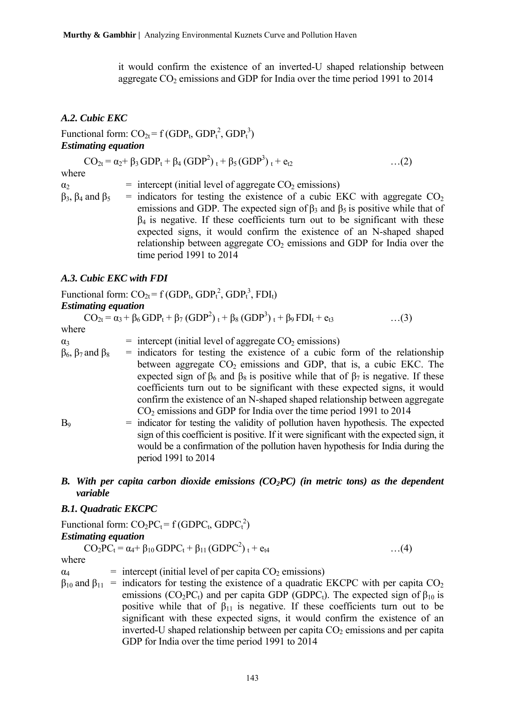it would confirm the existence of an inverted-U shaped relationship between aggregate  $CO<sub>2</sub>$  emissions and GDP for India over the time period 1991 to 2014

#### *A.2. Cubic EKC*

Functional form:  $CO_{2t} = f(GDP_t, GDP_t^2, GDP_t^3)$ *Estimating equation* 

$$
CO_{2t} = \alpha_2 + \beta_3 GDP_t + \beta_4 (GDP^2)_{t} + \beta_5 (GDP^3)_{t} + e_{t2} \qquad \qquad \dots (2)
$$
  
where

 $\alpha_2$  = intercept (initial level of aggregate CO<sub>2</sub> emissions)  $β_3$ ,  $β_4$  and  $β_5$  = indicators for testing the existence of a cubic EKC with aggregate CO<sub>2</sub> emissions and GDP. The expected sign of  $\beta_3$  and  $\beta_5$  is positive while that of  $\beta_4$  is negative. If these coefficients turn out to be significant with these expected signs, it would confirm the existence of an N-shaped shaped relationship between aggregate  $CO<sub>2</sub>$  emissions and GDP for India over the time period 1991 to 2014

#### *A.3. Cubic EKC with FDI*

Functional form:  $CO_{2t} = f (GDP_t, GDP_t^2, GDP_t^3, FDI_t)$ 

#### *Estimating equation*

 $CO_{2t} = \alpha_3 + \beta_6 \text{ GDP}_t + \beta_7 (\text{GDP}^2)_{t} + \beta_8 (\text{GDP}^3)_{t} + \beta_9 \text{FDI}_t + e_{t3}$  ...(3) where

- $\alpha_3$  = intercept (initial level of aggregate CO<sub>2</sub> emissions)
- $β<sub>6</sub>, β<sub>7</sub>$  and  $β<sub>8</sub>$  = indicators for testing the existence of a cubic form of the relationship between aggregate  $CO<sub>2</sub>$  emissions and GDP, that is, a cubic EKC. The expected sign of  $\beta_6$  and  $\beta_8$  is positive while that of  $\beta_7$  is negative. If these coefficients turn out to be significant with these expected signs, it would confirm the existence of an N-shaped shaped relationship between aggregate  $CO<sub>2</sub>$  emissions and GDP for India over the time period 1991 to 2014
- $B<sub>9</sub>$  = indicator for testing the validity of pollution haven hypothesis. The expected sign of this coefficient is positive. If it were significant with the expected sign, it would be a confirmation of the pollution haven hypothesis for India during the period 1991 to 2014

#### *B. With per capita carbon dioxide emissions (CO2PC) (in metric tons) as the dependent variable*

#### *B.1. Quadratic EKCPC*

Functional form:  $CO_2PC_t = f(GDPC_t, GDPC_t^2)$ *Estimating equation*   $CO_2PC_t = \alpha_4 + \beta_{10} GDPC_t + \beta_{11} (GDPC^2)_{t} + e_{t4}$  ...(4) where  $\alpha_4$  = intercept (initial level of per capita CO<sub>2</sub> emissions)

 $\beta_{10}$  and  $\beta_{11}$  = indicators for testing the existence of a quadratic EKCPC with per capita CO<sub>2</sub> emissions ( $CO<sub>2</sub>PC<sub>t</sub>$ ) and per capita GDP (GDPC<sub>t</sub>). The expected sign of  $\beta_{10}$  is positive while that of  $\beta_{11}$  is negative. If these coefficients turn out to be significant with these expected signs, it would confirm the existence of an inverted-U shaped relationship between per capita  $CO<sub>2</sub>$  emissions and per capita GDP for India over the time period 1991 to 2014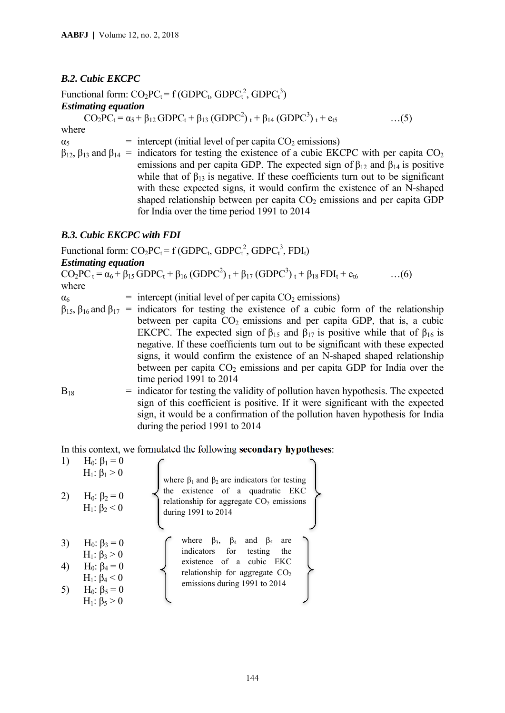## *B.2. Cubic EKCPC*

Functional form:  $CO_2PC_t = f(GDPC_t, GDPC_t^2, GDPC_t^3)$ *Estimating equation*   $CO_2PC_t = \alpha_5 + \beta_{12} GDPC_t + \beta_{13} (GDPC^2)_{t} + \beta_{14} (GDPC^3)_{t} + e_{t5}$  ...(5) where  $\alpha_5$  = intercept (initial level of per capita CO<sub>2</sub> emissions)

 $β<sub>12</sub>, β<sub>13</sub>$  and  $β<sub>14</sub> =$  indicators for testing the existence of a cubic EKCPC with per capita CO<sub>2</sub> emissions and per capita GDP. The expected sign of  $\beta_{12}$  and  $\beta_{14}$  is positive while that of  $\beta_{13}$  is negative. If these coefficients turn out to be significant with these expected signs, it would confirm the existence of an N-shaped shaped relationship between per capita  $CO<sub>2</sub>$  emissions and per capita GDP for India over the time period 1991 to 2014

### *B.3. Cubic EKCPC with FDI*

Functional form:  $CO_2PC_t = f(GDPC_t, GDPC_t^2, GDPC_t^3, FDI_t)$ *Estimating equation*   $CO_2PC_1 = \alpha_6 + \beta_{15} GDPC_1 + \beta_{16} (GDPC^2)_{t} + \beta_{17} (GDPC^3)_{t} + \beta_{18} FDI_{t} + e_{t6}$  ...(6) where  $\alpha_6$  = intercept (initial level of per capita CO<sub>2</sub> emissions)

- $β<sub>15</sub>, β<sub>16</sub>$  and  $β<sub>17</sub> =$  indicators for testing the existence of a cubic form of the relationship between per capita  $CO<sub>2</sub>$  emissions and per capita GDP, that is, a cubic EKCPC. The expected sign of  $\beta_{15}$  and  $\beta_{17}$  is positive while that of  $\beta_{16}$  is negative. If these coefficients turn out to be significant with these expected signs, it would confirm the existence of an N-shaped shaped relationship between per capita  $CO<sub>2</sub>$  emissions and per capita GDP for India over the time period 1991 to 2014
- $B_{18}$  = indicator for testing the validity of pollution haven hypothesis. The expected sign of this coefficient is positive. If it were significant with the expected sign, it would be a confirmation of the pollution haven hypothesis for India during the period 1991 to 2014

In this context, we formulated the following **secondary hypotheses**:

| 1)                 | $H_0: \beta_1 = 0$                                                                                                              |                                                                                                                                                                                                                 |                                                                    |
|--------------------|---------------------------------------------------------------------------------------------------------------------------------|-----------------------------------------------------------------------------------------------------------------------------------------------------------------------------------------------------------------|--------------------------------------------------------------------|
| $H_1: \beta_1 > 0$ | where $\beta_1$ and $\beta_2$ are indicators for testing the<br>relationship for aggregate $CO_2$ emissions during 1991 to 2014 |                                                                                                                                                                                                                 |                                                                    |
| 3)                 | $H_0: \beta_3 = 0$                                                                                                              | where $\beta_3$ , $\beta_4$ and $\beta_5$ are<br>divning 1991 to 2014                                                                                                                                           |                                                                    |
| 4)                 | $H_0: \beta_3 = 0$                                                                                                              | where $\beta_3$ , $\beta_4$ and $\beta_5$ are<br>indicators for testing the<br>existence of a cubic $ENC$<br>H <sub>1</sub> : $\beta_4 < 0$<br>H <sub>1</sub> : $\beta_4 < 0$<br>H <sub>1</sub> : $\beta_5 > 0$ | functionship for aggregate $CO_2$<br>emissions during 1991 to 2014 |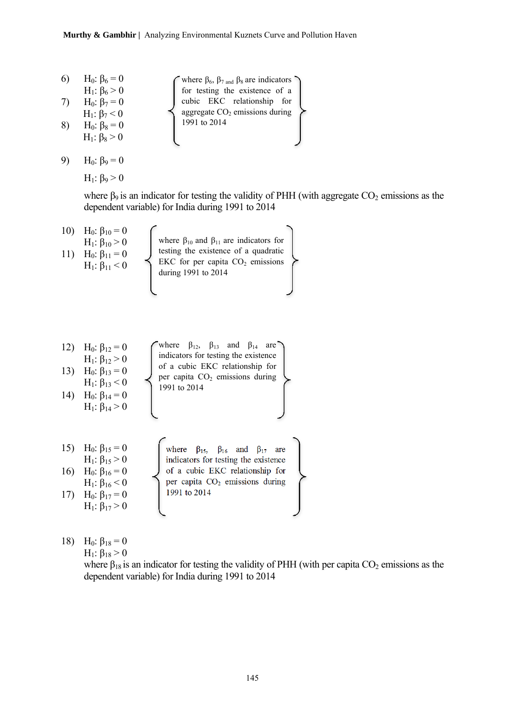| 6) | H <sub>0</sub> : β <sub>6</sub> = 0 |                                                                                            |
|----|-------------------------------------|--------------------------------------------------------------------------------------------|
|    | H <sub>1</sub> : β <sub>6</sub> > 0 | where $\beta_6$ , $\beta_7$ and $\beta_8$ are indicators<br>for testing the existence of a |
|    | H <sub>0</sub> : β <sub>7</sub> = 0 | cubic EKC relationship for                                                                 |
|    | $H_1$ : β <sub>7</sub> < 0          | aggregate CO <sub>2</sub> emissions during                                                 |
| 8  | H <sub>0</sub> : β <sub>8</sub> = 0 | 1991 to 2014                                                                               |
|    | $H_1$ : β <sub>8</sub> > 0          |                                                                                            |
|    |                                     |                                                                                            |

9) H<sub>0</sub>: β<sub>9</sub> = 0

 $H_1$ : β<sub>9</sub> > 0

where  $\beta_9$  is an indicator for testing the validity of PHH (with aggregate  $CO_2$  emissions as the dependent variable) for India during 1991 to 2014

10) H0: β10 = 0 H1: β10 > 0 11) H0: β11 = 0 H1: β11 < 0 12) H0: β12 = 0 H1: β12 > 0 13) H0: β13 = 0 H1: β13 < 0 14) H0: β14 = 0 H1: β14 > 0 15) H0: β15 = 0 H1: β15 > 0 16) H0: β16 = 0 H1: β16 < 0 17) H0: β17 = 0 H1: β17 > 0 where β10 and β11 are indicators for testing the existence of a quadratic EKC for per capita CO2 emissions during 1991 to 2014 where β15, β16 and β17 are indicators for testing the existence of a cubic EKC relationship for per capita CO2 emissions during 1991 to 2014 where β12, β13 and β14 are indicators for testing the existence of a cubic EKC relationship for per capita CO2 emissions during 1991 to 2014

18) H<sub>0</sub>:  $\beta_{18} = 0$ 

 $H_1$ : β<sub>18</sub> > 0

where  $\beta_{18}$  is an indicator for testing the validity of PHH (with per capita CO<sub>2</sub> emissions as the dependent variable) for India during 1991 to 2014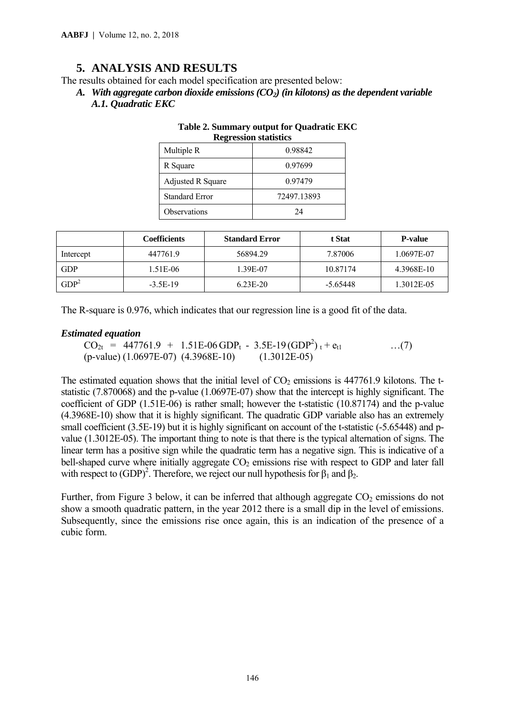# **5. ANALYSIS AND RESULTS**

The results obtained for each model specification are presented below:

A. *With aggregate carbon dioxide emissions*  $(CO_2)$  *(in kilotons) as the dependent variable A.1. Quadratic EKC* 

| Regression statistics    |             |  |  |
|--------------------------|-------------|--|--|
| Multiple R               | 0.98842     |  |  |
| R Square                 | 0.97699     |  |  |
| <b>Adjusted R Square</b> | 0.97479     |  |  |
| <b>Standard Error</b>    | 72497.13893 |  |  |
| Observations             | 24          |  |  |

| Table 2. Summary output for Quadratic EKC |  |
|-------------------------------------------|--|
| <b>Regression statistics</b>              |  |

|                  | <b>Coefficients</b> | <b>Standard Error</b> | t Stat     | <b>P-value</b> |
|------------------|---------------------|-----------------------|------------|----------------|
| Intercept        | 447761.9            | 56894.29              | 7.87006    | 1.0697E-07     |
| <b>GDP</b>       | 1.51E-06            | 1.39E-07              | 10.87174   | 4.3968E-10     |
| GDP <sup>2</sup> | $-3.5E-19$          | $6.23E-20$            | $-5.65448$ | 1.3012E-05     |

The R-square is 0.976, which indicates that our regression line is a good fit of the data.

#### *Estimated equation*

 $CO_{2t}$  = 447761.9 + 1.51E-06 GDP<sub>t</sub> - 3.5E-19 (GDP<sup>2</sup>) <sub>t</sub> + e<sub>t1</sub> ...(7) (p-value) (1.0697E-07) (4.3968E-10) (1.3012E-05)

The estimated equation shows that the initial level of  $CO<sub>2</sub>$  emissions is 447761.9 kilotons. The tstatistic (7.870068) and the p-value (1.0697E-07) show that the intercept is highly significant. The coefficient of GDP (1.51E-06) is rather small; however the t-statistic (10.87174) and the p-value (4.3968E-10) show that it is highly significant. The quadratic GDP variable also has an extremely small coefficient (3.5E-19) but it is highly significant on account of the t-statistic (-5.65448) and pvalue (1.3012E-05). The important thing to note is that there is the typical alternation of signs. The linear term has a positive sign while the quadratic term has a negative sign. This is indicative of a bell-shaped curve where initially aggregate  $CO<sub>2</sub>$  emissions rise with respect to GDP and later fall with respect to (GDP)<sup>2</sup>. Therefore, we reject our null hypothesis for  $\beta_1$  and  $\beta_2$ .

Further, from Figure 3 below, it can be inferred that although aggregate  $CO<sub>2</sub>$  emissions do not show a smooth quadratic pattern, in the year 2012 there is a small dip in the level of emissions. Subsequently, since the emissions rise once again, this is an indication of the presence of a cubic form.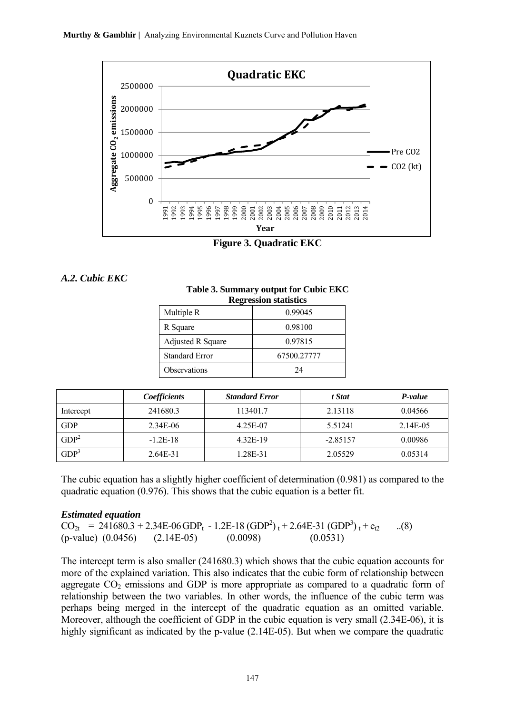

**Figure 3. Quadratic EKC**



| Table 3. Summary output for Cubic EKC |
|---------------------------------------|
| Dographian statistics                 |

| <b>Regression statistics</b> |             |  |  |
|------------------------------|-------------|--|--|
| Multiple R                   | 0.99045     |  |  |
| R Square                     | 0.98100     |  |  |
| <b>Adjusted R Square</b>     | 0.97815     |  |  |
| <b>Standard Error</b>        | 67500.27777 |  |  |
| Observations                 | 24          |  |  |

|                  | Coefficients | <b>Standard Error</b> | t Stat     | P-value  |
|------------------|--------------|-----------------------|------------|----------|
| Intercept        | 241680.3     | 113401.7              | 2.13118    | 0.04566  |
| <b>GDP</b>       | 2.34E-06     | 4.25E-07              | 5.51241    | 2.14E-05 |
| GDP <sup>2</sup> | $-1.2E-18$   | 4.32E-19              | $-2.85157$ | 0.00986  |
| GDP <sup>3</sup> | $2.64E-31$   | $1.28E - 31$          | 2.05529    | 0.05314  |

The cubic equation has a slightly higher coefficient of determination (0.981) as compared to the quadratic equation (0.976). This shows that the cubic equation is a better fit.

### *Estimated equation*

 $CO_{2t}$  = 241680.3 + 2.34E-06 GDP<sub>t</sub> - 1.2E-18 (GDP<sup>2</sup>)<sub>t</sub> + 2.64E-31 (GDP<sup>3</sup>)<sub>t</sub> + e<sub>t2</sub> ...(8)  $(p-value)$   $(0.0456)$   $(2.14E-05)$   $(0.0098)$   $(0.0531)$ 

The intercept term is also smaller (241680.3) which shows that the cubic equation accounts for more of the explained variation. This also indicates that the cubic form of relationship between aggregate  $CO<sub>2</sub>$  emissions and GDP is more appropriate as compared to a quadratic form of relationship between the two variables. In other words, the influence of the cubic term was perhaps being merged in the intercept of the quadratic equation as an omitted variable. Moreover, although the coefficient of GDP in the cubic equation is very small (2.34E-06), it is highly significant as indicated by the p-value (2.14E-05). But when we compare the quadratic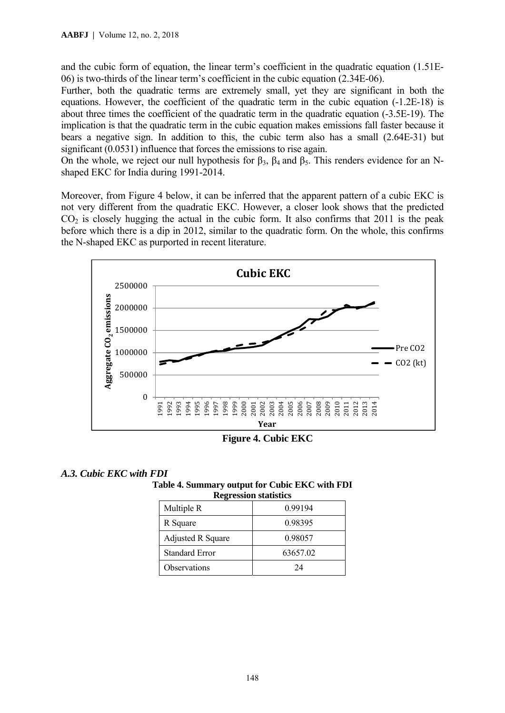and the cubic form of equation, the linear term's coefficient in the quadratic equation (1.51E-06) is two-thirds of the linear term's coefficient in the cubic equation (2.34E-06).

Further, both the quadratic terms are extremely small, yet they are significant in both the equations. However, the coefficient of the quadratic term in the cubic equation (-1.2E-18) is about three times the coefficient of the quadratic term in the quadratic equation (-3.5E-19). The implication is that the quadratic term in the cubic equation makes emissions fall faster because it bears a negative sign. In addition to this, the cubic term also has a small (2.64E-31) but significant (0.0531) influence that forces the emissions to rise again.

On the whole, we reject our null hypothesis for  $β_3$ ,  $β_4$  and  $β_5$ . This renders evidence for an Nshaped EKC for India during 1991-2014.

Moreover, from Figure 4 below, it can be inferred that the apparent pattern of a cubic EKC is not very different from the quadratic EKC. However, a closer look shows that the predicted  $CO<sub>2</sub>$  is closely hugging the actual in the cubic form. It also confirms that 2011 is the peak before which there is a dip in 2012, similar to the quadratic form. On the whole, this confirms the N-shaped EKC as purported in recent literature.



**Figure 4. Cubic EKC** 

### *A.3. Cubic EKC with FDI*

**Table 4. Summary output for Cubic EKC with FDI** 

| <b>Regression statistics</b> |          |  |  |
|------------------------------|----------|--|--|
| Multiple R                   | 0.99194  |  |  |
| R Square                     | 0.98395  |  |  |
| <b>Adjusted R Square</b>     | 0.98057  |  |  |
| <b>Standard Error</b>        | 63657.02 |  |  |
| Observations                 | 24       |  |  |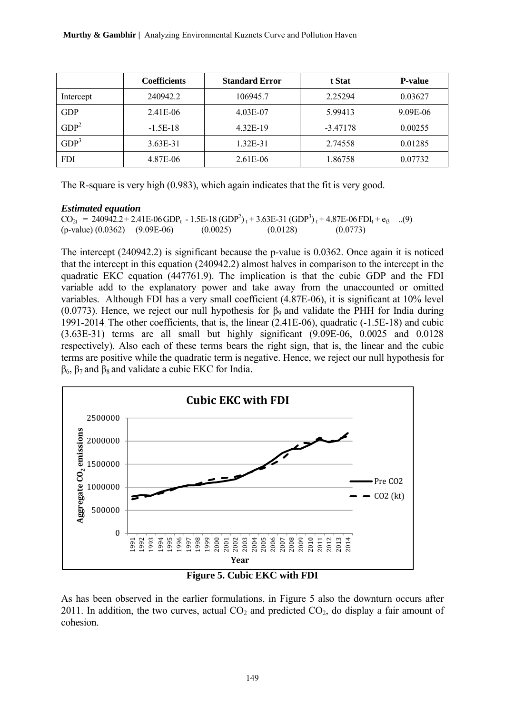|                  | <b>Coefficients</b> | <b>Standard Error</b> | t Stat     | <b>P-value</b> |
|------------------|---------------------|-----------------------|------------|----------------|
| Intercept        | 240942.2            | 106945.7              | 2.25294    | 0.03627        |
| <b>GDP</b>       | 2.41E-06            | 4.03E-07              | 5.99413    | 9.09E-06       |
| GDP <sup>2</sup> | $-1.5E-18$          | 4.32E-19              | $-3.47178$ | 0.00255        |
| GDP <sup>3</sup> | 3.63E-31            | 1.32E-31              | 2.74558    | 0.01285        |
| <b>FDI</b>       | 4.87E-06            | 2.61E-06              | 1.86758    | 0.07732        |

The R-square is very high (0.983), which again indicates that the fit is very good.

#### *Estimated equation*

 $CO_{2t} = 2409\overline{42.2} + 2.41E-06 GDP_t - 1.5E-18 (GDP<sup>2</sup>)_t + 3.63E-31 (GDP<sup>3</sup>)_t + 4.87E-06 FDI_t + e_{t3}$  ...(9)  $(p-value) (0.0362) (9.09E-06) (0.0025) (0.0128) (0.0773)$ 

The intercept (240942.2) is significant because the p-value is 0.0362. Once again it is noticed that the intercept in this equation (240942.2) almost halves in comparison to the intercept in the quadratic EKC equation (447761.9). The implication is that the cubic GDP and the FDI variable add to the explanatory power and take away from the unaccounted or omitted variables. Although FDI has a very small coefficient (4.87E-06), it is significant at 10% level (0.0773). Hence, we reject our null hypothesis for  $\beta_9$  and validate the PHH for India during 1991-2014. The other coefficients, that is, the linear (2.41E-06), quadratic (-1.5E-18) and cubic (3.63E-31) terms are all small but highly significant (9.09E-06, 0.0025 and 0.0128 respectively). Also each of these terms bears the right sign, that is, the linear and the cubic terms are positive while the quadratic term is negative. Hence, we reject our null hypothesis for  $β_6$ ,  $β_7$  and  $β_8$  and validate a cubic EKC for India.



**Figure 5. Cubic EKC with FDI** 

As has been observed in the earlier formulations, in Figure 5 also the downturn occurs after 2011. In addition, the two curves, actual  $CO<sub>2</sub>$  and predicted  $CO<sub>2</sub>$ , do display a fair amount of cohesion.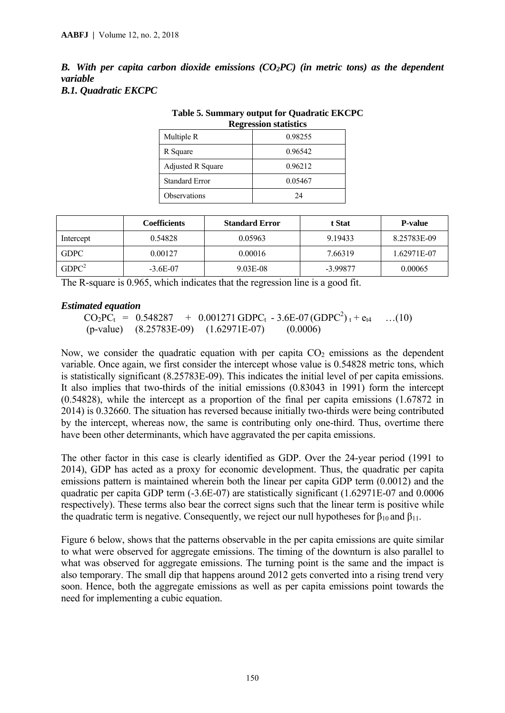*B. With per capita carbon dioxide emissions (CO2PC) (in metric tons) as the dependent variable B.1. Quadratic EKCPC* 

| <b>Regression statistics</b> |         |  |
|------------------------------|---------|--|
| Multiple R                   | 0.98255 |  |
| R Square                     | 0.96542 |  |
| Adjusted R Square            | 0.96212 |  |
| <b>Standard Error</b>        | 0.05467 |  |
| Observations                 | 24      |  |

**Table 5. Summary output for Quadratic EKCPC** 

|                   | Coefficients | <b>Standard Error</b> | t Stat     | <b>P-value</b> |
|-------------------|--------------|-----------------------|------------|----------------|
| Intercept         | 0.54828      | 0.05963               | 9.19433    | 8.25783E-09    |
| <b>GDPC</b>       | 0.00127      | 0.00016               | 7.66319    | 1.62971E-07    |
| GDPC <sup>2</sup> | $-3.6E-07$   | 9.03E-08              | $-3.99877$ | 0.00065        |

The R-square is 0.965, which indicates that the regression line is a good fit.

#### *Estimated equation*

 $CO_2PC_t = 0.548287 + 0.001271 \text{ GDPC}_t - 3.6E-07 \text{ (GDPC}^2)_t + e_{t4}$  ...(10) (p-value) (8.25783E-09) (1.62971E-07) (0.0006)

Now, we consider the quadratic equation with per capita  $CO<sub>2</sub>$  emissions as the dependent variable. Once again, we first consider the intercept whose value is 0.54828 metric tons, which is statistically significant (8.25783E-09). This indicates the initial level of per capita emissions. It also implies that two-thirds of the initial emissions (0.83043 in 1991) form the intercept (0.54828), while the intercept as a proportion of the final per capita emissions (1.67872 in 2014) is 0.32660. The situation has reversed because initially two-thirds were being contributed by the intercept, whereas now, the same is contributing only one-third. Thus, overtime there have been other determinants, which have aggravated the per capita emissions.

The other factor in this case is clearly identified as GDP. Over the 24-year period (1991 to 2014), GDP has acted as a proxy for economic development. Thus, the quadratic per capita emissions pattern is maintained wherein both the linear per capita GDP term (0.0012) and the quadratic per capita GDP term (-3.6E-07) are statistically significant (1.62971E-07 and 0.0006 respectively). These terms also bear the correct signs such that the linear term is positive while the quadratic term is negative. Consequently, we reject our null hypotheses for  $\beta_{10}$  and  $\beta_{11}$ .

Figure 6 below, shows that the patterns observable in the per capita emissions are quite similar to what were observed for aggregate emissions. The timing of the downturn is also parallel to what was observed for aggregate emissions. The turning point is the same and the impact is also temporary. The small dip that happens around 2012 gets converted into a rising trend very soon. Hence, both the aggregate emissions as well as per capita emissions point towards the need for implementing a cubic equation.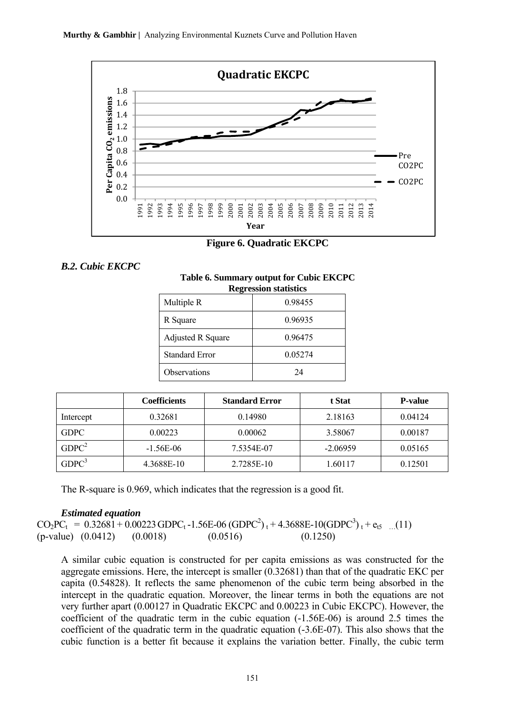

**Figure 6. Quadratic EKCPC** 

*B.2. Cubic EKCPC* 

| <b>Regression statistics</b> |         |  |  |
|------------------------------|---------|--|--|
| Multiple R                   | 0.98455 |  |  |
| R Square                     | 0.96935 |  |  |
| <b>Adjusted R Square</b>     | 0.96475 |  |  |
| <b>Standard Error</b>        | 0.05274 |  |  |
| Observations                 | 24      |  |  |

|  |                       | Table 6. Summary output for Cubic EKCPC |
|--|-----------------------|-----------------------------------------|
|  | Regression statistics |                                         |

|                   | <b>Coefficients</b> | <b>Standard Error</b> | t Stat     | <b>P-value</b> |
|-------------------|---------------------|-----------------------|------------|----------------|
| Intercept         | 0.32681             | 0.14980               | 2.18163    | 0.04124        |
| <b>GDPC</b>       | 0.00223             | 0.00062               | 3.58067    | 0.00187        |
| GDPC <sup>2</sup> | $-1.56E-06$         | 7.5354E-07            | $-2.06959$ | 0.05165        |
| GDPC <sup>3</sup> | 4.3688E-10          | 2.7285E-10            | 1.60117    | 0.12501        |

The R-square is 0.969, which indicates that the regression is a good fit.

#### *Estimated equation*

 $CO_2PC_t = 0.32681 + 0.00223 \text{ GDPC}_t - 1.56E - 06 \text{ (GDPC}^2)_t + 4.3688E - 10 \text{(GDPC}^3)_t + e_{t5}$  ...(11) (p-value) (0.0412) (0.0018) (0.0516) (0.1250)

A similar cubic equation is constructed for per capita emissions as was constructed for the aggregate emissions. Here, the intercept is smaller (0.32681) than that of the quadratic EKC per capita (0.54828). It reflects the same phenomenon of the cubic term being absorbed in the intercept in the quadratic equation. Moreover, the linear terms in both the equations are not very further apart (0.00127 in Quadratic EKCPC and 0.00223 in Cubic EKCPC). However, the coefficient of the quadratic term in the cubic equation (-1.56E-06) is around 2.5 times the coefficient of the quadratic term in the quadratic equation (-3.6E-07). This also shows that the cubic function is a better fit because it explains the variation better. Finally, the cubic term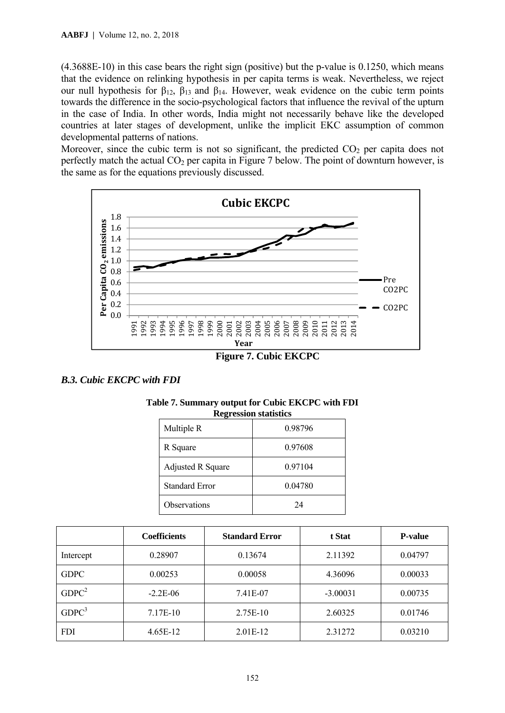(4.3688E-10) in this case bears the right sign (positive) but the p-value is 0.1250, which means that the evidence on relinking hypothesis in per capita terms is weak. Nevertheless, we reject our null hypothesis for  $β_{12}$ ,  $β_{13}$  and  $β_{14}$ . However, weak evidence on the cubic term points towards the difference in the socio-psychological factors that influence the revival of the upturn in the case of India. In other words, India might not necessarily behave like the developed countries at later stages of development, unlike the implicit EKC assumption of common developmental patterns of nations.

Moreover, since the cubic term is not so significant, the predicted  $CO<sub>2</sub>$  per capita does not perfectly match the actual  $CO<sub>2</sub>$  per capita in Figure 7 below. The point of downturn however, is the same as for the equations previously discussed.



*B.3. Cubic EKCPC with FDI* 

| <b>Regression statistics</b> |         |  |  |  |
|------------------------------|---------|--|--|--|
| Multiple R                   | 0.98796 |  |  |  |
| R Square                     | 0.97608 |  |  |  |
| Adjusted R Square            | 0.97104 |  |  |  |
| <b>Standard Error</b>        | 0.04780 |  |  |  |
| Observations                 | 24      |  |  |  |

| Table 7. Summary output for Cubic EKCPC with FDI |  |  |  |
|--------------------------------------------------|--|--|--|
| Regression statistics                            |  |  |  |

|                   | <b>Coefficients</b> | <b>Standard Error</b> | t Stat     | <b>P-value</b> |
|-------------------|---------------------|-----------------------|------------|----------------|
| Intercept         | 0.28907             | 0.13674               | 2.11392    | 0.04797        |
| <b>GDPC</b>       | 0.00253             | 0.00058               | 4.36096    | 0.00033        |
| GDPC <sup>2</sup> | $-2.2E-06$          | 7.41E-07              | $-3.00031$ | 0.00735        |
| GDPC <sup>3</sup> | 7.17E-10            | 2.75E-10              | 2.60325    | 0.01746        |
| <b>FDI</b>        | $4.65E-12$          | $2.01E-12$            | 2.31272    | 0.03210        |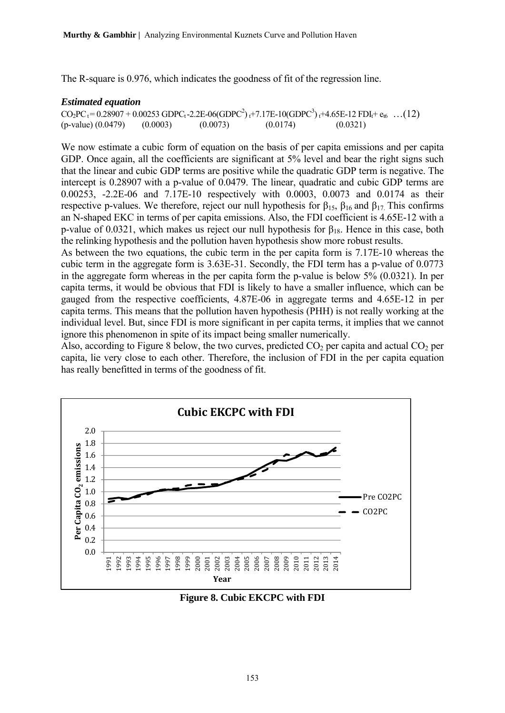The R-square is 0.976, which indicates the goodness of fit of the regression line.

#### *Estimated equation*

 $CO_2PC_t = 0.28907 + 0.00253 \text{ GDPC}_t - 2.2E - 06(\text{GDPC}^2)_t + 7.17E - 10(\text{GDPC}^3)_t + 4.65E - 12 \text{ FDI}_t + e_{t6} \dots (12)$  $(p-value) (0.0479) (0.0003) (0.0073) (0.0174) (0.0321)$ 

We now estimate a cubic form of equation on the basis of per capita emissions and per capita GDP. Once again, all the coefficients are significant at 5% level and bear the right signs such that the linear and cubic GDP terms are positive while the quadratic GDP term is negative. The intercept is 0.28907 with a p-value of 0.0479. The linear, quadratic and cubic GDP terms are 0.00253, -2.2E-06 and 7.17E-10 respectively with 0.0003, 0.0073 and 0.0174 as their respective p-values. We therefore, reject our null hypothesis for  $\beta_{15}$ ,  $\beta_{16}$  and  $\beta_{17}$ . This confirms an N-shaped EKC in terms of per capita emissions. Also, the FDI coefficient is 4.65E-12 with a p-value of 0.0321, which makes us reject our null hypothesis for  $\beta_{18}$ . Hence in this case, both the relinking hypothesis and the pollution haven hypothesis show more robust results.

As between the two equations, the cubic term in the per capita form is 7.17E-10 whereas the cubic term in the aggregate form is 3.63E-31. Secondly, the FDI term has a p-value of 0.0773 in the aggregate form whereas in the per capita form the p-value is below  $5\%$  (0.0321). In per capita terms, it would be obvious that FDI is likely to have a smaller influence, which can be gauged from the respective coefficients, 4.87E-06 in aggregate terms and 4.65E-12 in per capita terms. This means that the pollution haven hypothesis (PHH) is not really working at the individual level. But, since FDI is more significant in per capita terms, it implies that we cannot ignore this phenomenon in spite of its impact being smaller numerically.

Also, according to Figure 8 below, the two curves, predicted  $CO<sub>2</sub>$  per capita and actual  $CO<sub>2</sub>$  per capita, lie very close to each other. Therefore, the inclusion of FDI in the per capita equation has really benefitted in terms of the goodness of fit.



**Figure 8. Cubic EKCPC with FDI**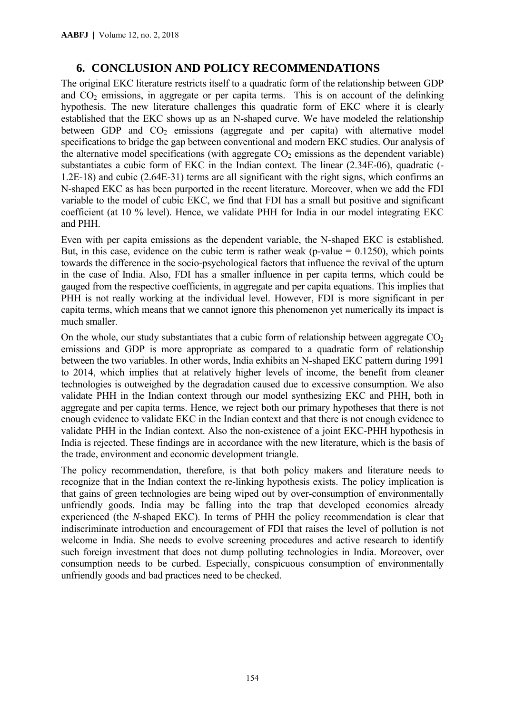# **6. CONCLUSION AND POLICY RECOMMENDATIONS**

The original EKC literature restricts itself to a quadratic form of the relationship between GDP and  $CO<sub>2</sub>$  emissions, in aggregate or per capita terms. This is on account of the delinking hypothesis. The new literature challenges this quadratic form of EKC where it is clearly established that the EKC shows up as an N-shaped curve. We have modeled the relationship between GDP and  $CO<sub>2</sub>$  emissions (aggregate and per capita) with alternative model specifications to bridge the gap between conventional and modern EKC studies. Our analysis of the alternative model specifications (with aggregate  $CO<sub>2</sub>$  emissions as the dependent variable) substantiates a cubic form of EKC in the Indian context. The linear (2.34E-06), quadratic (- 1.2E-18) and cubic (2.64E-31) terms are all significant with the right signs, which confirms an N-shaped EKC as has been purported in the recent literature. Moreover, when we add the FDI variable to the model of cubic EKC, we find that FDI has a small but positive and significant coefficient (at 10 % level). Hence, we validate PHH for India in our model integrating EKC and PHH.

Even with per capita emissions as the dependent variable, the N-shaped EKC is established. But, in this case, evidence on the cubic term is rather weak (p-value  $= 0.1250$ ), which points towards the difference in the socio-psychological factors that influence the revival of the upturn in the case of India. Also, FDI has a smaller influence in per capita terms, which could be gauged from the respective coefficients, in aggregate and per capita equations. This implies that PHH is not really working at the individual level. However, FDI is more significant in per capita terms, which means that we cannot ignore this phenomenon yet numerically its impact is much smaller.

On the whole, our study substantiates that a cubic form of relationship between aggregate  $CO<sub>2</sub>$ emissions and GDP is more appropriate as compared to a quadratic form of relationship between the two variables. In other words, India exhibits an N-shaped EKC pattern during 1991 to 2014, which implies that at relatively higher levels of income, the benefit from cleaner technologies is outweighed by the degradation caused due to excessive consumption. We also validate PHH in the Indian context through our model synthesizing EKC and PHH, both in aggregate and per capita terms. Hence, we reject both our primary hypotheses that there is not enough evidence to validate EKC in the Indian context and that there is not enough evidence to validate PHH in the Indian context. Also the non-existence of a joint EKC-PHH hypothesis in India is rejected. These findings are in accordance with the new literature, which is the basis of the trade, environment and economic development triangle.

The policy recommendation, therefore, is that both policy makers and literature needs to recognize that in the Indian context the re-linking hypothesis exists. The policy implication is that gains of green technologies are being wiped out by over-consumption of environmentally unfriendly goods. India may be falling into the trap that developed economies already experienced (the *N*-shaped EKC). In terms of PHH the policy recommendation is clear that indiscriminate introduction and encouragement of FDI that raises the level of pollution is not welcome in India. She needs to evolve screening procedures and active research to identify such foreign investment that does not dump polluting technologies in India. Moreover, over consumption needs to be curbed. Especially, conspicuous consumption of environmentally unfriendly goods and bad practices need to be checked.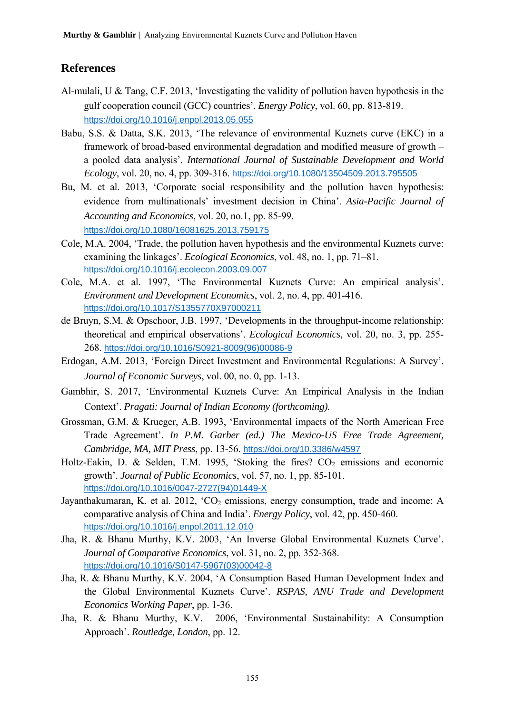# **References**

- Al-mulali, U & Tang, C.F. 2013, 'Investigating the validity of pollution haven hypothesis in the gulf cooperation council (GCC) countries'. *Energy Policy*, vol. 60, pp. 813-819. https://doi.org/10.1016/j.enpol.2013.05.055
- Babu, S.S. & Datta, S.K. 2013, 'The relevance of environmental Kuznets curve (EKC) in a framework of broad-based environmental degradation and modified measure of growth – a pooled data analysis'. *International Journal of Sustainable Development and World Ecology*, vol. 20, no. 4, pp. 309-316. https://doi.org/10.1080/13504509.2013.795505
- Bu, M. et al. 2013, 'Corporate social responsibility and the pollution haven hypothesis: evidence from multinationals' investment decision in China'. *Asia-Pacific Journal of Accounting and Economics*, vol. 20, no.1, pp. 85-99. https://doi.org/10.1080/16081625.2013.759175
- Cole, M.A. 2004, 'Trade, the pollution haven hypothesis and the environmental Kuznets curve: examining the linkages'. *Ecological Economics*, vol. 48, no. 1, pp. 71–81. https://doi.org/10.1016/j.ecolecon.2003.09.007
- Cole, M.A. et al. 1997, 'The Environmental Kuznets Curve: An empirical analysis'. *Environment and Development Economics*, vol. 2, no. 4, pp. 401-416. https://doi.org/10.1017/S1355770X97000211
- de Bruyn, S.M. & Opschoor, J.B. 1997, 'Developments in the throughput-income relationship: theoretical and empirical observations'. *Ecological Economics,* vol. 20, no. 3, pp. 255- 268. https://doi.org/10.1016/S0921-8009(96)00086-9
- Erdogan, A.M. 2013, 'Foreign Direct Investment and Environmental Regulations: A Survey'. *Journal of Economic Surveys*, vol. 00, no. 0, pp. 1-13.
- Gambhir, S. 2017, 'Environmental Kuznets Curve: An Empirical Analysis in the Indian Context'. *Pragati: Journal of Indian Economy (forthcoming).*
- Grossman, G.M. & Krueger, A.B. 1993, 'Environmental impacts of the North American Free Trade Agreement'. *In P.M. Garber (ed.) The Mexico-US Free Trade Agreement, Cambridge, MA, MIT Press*, pp. 13-56. https://doi.org/10.3386/w4597
- Holtz-Eakin, D. & Selden, T.M. 1995, 'Stoking the fires?  $CO<sub>2</sub>$  emissions and economic growth'. *Journal of Public Economics*, vol. 57, no. 1, pp. 85-101. https://doi.org/10.1016/0047-2727(94)01449-X
- Jayanthakumaran, K. et al. 2012,  $CO<sub>2</sub>$  emissions, energy consumption, trade and income: A comparative analysis of China and India'. *Energy Policy*, vol. 42, pp. 450-460. https://doi.org/10.1016/j.enpol.2011.12.010
- Jha, R. & Bhanu Murthy, K.V. 2003, 'An Inverse Global Environmental Kuznets Curve'. *Journal of Comparative Economics*, vol. 31, no. 2, pp. 352-368. https://doi.org/10.1016/S0147-5967(03)00042-8
- Jha, R. & Bhanu Murthy, K.V. 2004, 'A Consumption Based Human Development Index and the Global Environmental Kuznets Curve'. *RSPAS, ANU Trade and Development Economics Working Paper*, pp. 1-36.
- Jha, R. & Bhanu Murthy, K.V. 2006, 'Environmental Sustainability: A Consumption Approach'. *Routledge, London*, pp. 12.